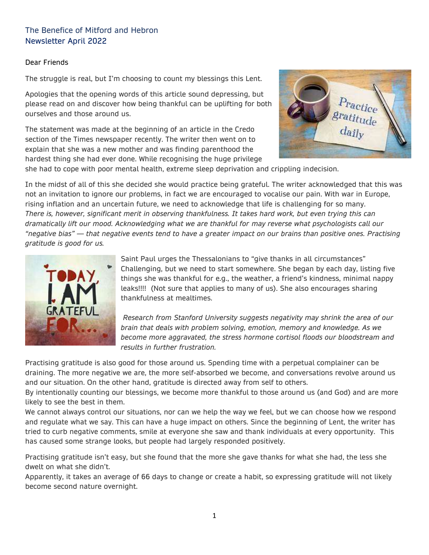# The Benefice of Mitford and Hebron Newsletter April 2022

#### Dear Friends

The struggle is real, but I'm choosing to count my blessings this Lent.

Apologies that the opening words of this article sound depressing, but please read on and discover how being thankful can be uplifting for both ourselves and those around us.

The statement was made at the beginning of an article in the Credo section of the Times newspaper recently. The writer then went on to explain that she was a new mother and was finding parenthood the hardest thing she had ever done. While recognising the huge privilege



she had to cope with poor mental health, extreme sleep deprivation and crippling indecision.

In the midst of all of this she decided she would practice being grateful. The writer acknowledged that this was not an invitation to ignore our problems, in fact we are encouraged to vocalise our pain. With war in Europe, rising inflation and an uncertain future, we need to acknowledge that life is challenging for so many. *There is, however, significant merit in observing thankfulness. It takes hard work, but even trying this can dramatically lift our mood. Acknowledging what we are thankful for may reverse what psychologists call our "negative bias" — that negative events tend to have a greater impact on our brains than positive ones. Practising gratitude is good for us.*



Saint Paul urges the Thessalonians to "give thanks in all circumstances" Challenging, but we need to start somewhere. She began by each day, listing five things she was thankful for e.g., the weather, a friend's kindness, minimal nappy leaks!!!! (Not sure that applies to many of us). She also encourages sharing thankfulness at mealtimes.

*Research from Stanford University suggests negativity may shrink the area of our brain that deals with problem solving, emotion, memory and knowledge. As we become more aggravated, the stress hormone cortisol floods our bloodstream and results in further frustration.* 

Practising gratitude is also good for those around us. Spending time with a perpetual complainer can be draining. The more negative we are, the more self-absorbed we become, and conversations revolve around us and our situation. On the other hand, gratitude is directed away from self to others.

By intentionally counting our blessings, we become more thankful to those around us (and God) and are more likely to see the best in them.

We cannot always control our situations, nor can we help the way we feel, but we can choose how we respond and regulate what we say. This can have a huge impact on others. Since the beginning of Lent, the writer has tried to curb negative comments, smile at everyone she saw and thank individuals at every opportunity. This has caused some strange looks, but people had largely responded positively.

Practising gratitude isn't easy, but she found that the more she gave thanks for what she had, the less she dwelt on what she didn't.

Apparently, it takes an average of 66 days to change or create a habit, so expressing gratitude will not likely become second nature overnight.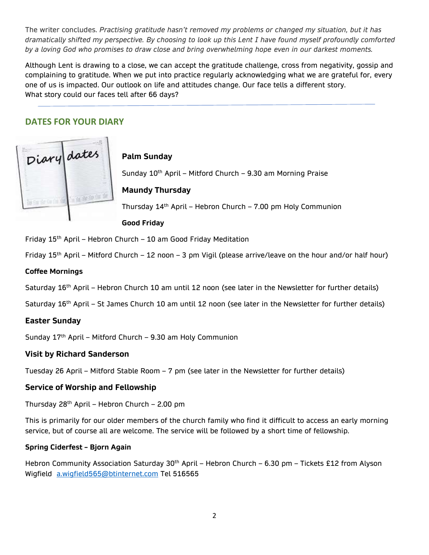The writer concludes. *Practising gratitude hasn't removed my problems or changed my situation, but it has dramatically shifted my perspective. By choosing to look up this Lent I have found myself profoundly comforted by a loving God who promises to draw close and bring overwhelming hope even in our darkest moments.*

Although Lent is drawing to a close, we can accept the gratitude challenge, cross from negativity, gossip and complaining to gratitude. When we put into practice regularly acknowledging what we are grateful for, every one of us is impacted. Our outlook on life and attitudes change. Our face tells a different story. What story could our faces tell after 66 days?

# **DATES FOR YOUR DIARY**



**Palm Sunday**

Sunday 10<sup>th</sup> April - Mitford Church - 9.30 am Morning Praise

## **Maundy Thursday**

Thursday  $14<sup>th</sup>$  April – Hebron Church – 7.00 pm Holy Communion

**Good Friday**

Friday  $15<sup>th</sup>$  April – Hebron Church – 10 am Good Friday Meditation

Friday 15<sup>th</sup> April – Mitford Church – 12 noon – 3 pm Vigil (please arrive/leave on the hour and/or half hour)

#### **Coffee Mornings**

Saturday 16<sup>th</sup> April – Hebron Church 10 am until 12 noon (see later in the Newsletter for further details)

Saturday 16<sup>th</sup> April – St James Church 10 am until 12 noon (see later in the Newsletter for further details)

#### **Easter Sunday**

Sunday  $17<sup>th</sup>$  April – Mitford Church – 9.30 am Holy Communion

#### **Visit by Richard Sanderson**

Tuesday 26 April – Mitford Stable Room – 7 pm (see later in the Newsletter for further details)

#### **Service of Worship and Fellowship**

Thursday 28th April – Hebron Church – 2.00 pm

This is primarily for our older members of the church family who find it difficult to access an early morning service, but of course all are welcome. The service will be followed by a short time of fellowship.

#### **Spring Ciderfest – Bjorn Again**

Hebron Community Association Saturday 30<sup>th</sup> April – Hebron Church – 6.30 pm – Tickets £12 from Alyson Wigfield [a.wigfield565@btinternet.com](mailto:a.wigfield565@btinternet.com) Tel 516565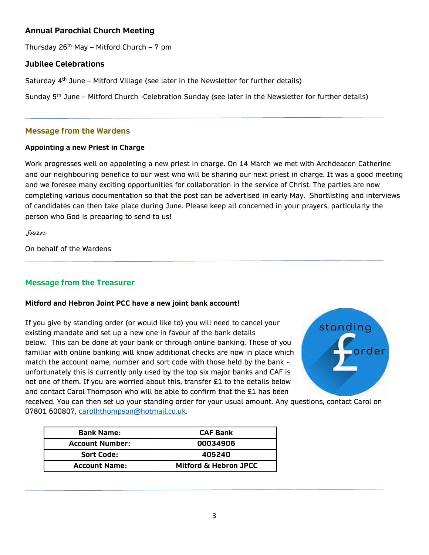## **Annual Parochial Church Meeting**

Thursday  $26<sup>th</sup>$  May – Mitford Church – 7 pm

## **Jubilee Celebrations**

Saturday 4<sup>th</sup> June – Mitford Village (see later in the Newsletter for further details)

Sunday 5<sup>th</sup> June – Mitford Church -Celebration Sunday (see later in the Newsletter for further details)

## **Message from the Wardens**

#### **Appointing a new Priest in Charge**

Work progresses well on appointing a new priest in charge. On 14 March we met with Archdeacon Catherine and our neighbouring benefice to our west who will be sharing our next priest in charge. It was a good meeting and we foresee many exciting opportunities for collaboration in the service of Christ. The parties are now completing various documentation so that the post can be advertised in early May. Shortlisting and interviews of candidates can then take place during June. Please keep all concerned in your prayers, particularly the person who God is preparing to send to us!

*Sean*

On behalf of the Wardens

# **Message from the Treasurer**

#### **Mitford and Hebron Joint PCC have a new joint bank account!**

If you give by standing order (or would like to) you will need to cancel your existing mandate and set up a new one in favour of the bank details below. This can be done at your bank or through online banking. Those of you familiar with online banking will know additional checks are now in place which match the account name, number and sort code with those held by the bank unfortunately this is currently only used by the top six major banks and CAF is not one of them. If you are worried about this, transfer £1 to the details below and contact Carol Thompson who will be able to confirm that the £1 has been



received. You can then set up your standing order for your usual amount. Any questions, contact Carol on 07801 600807, [carolhthompson@hotmail.co.uk.](mailto:carolhthompson@hotmail.co.uk)

| <b>Bank Name:</b>      | <b>CAF Bank</b>       |  |
|------------------------|-----------------------|--|
| <b>Account Number:</b> | 00034906              |  |
| <b>Sort Code:</b>      | 405240                |  |
| <b>Account Name:</b>   | Mitford & Hebron JPCC |  |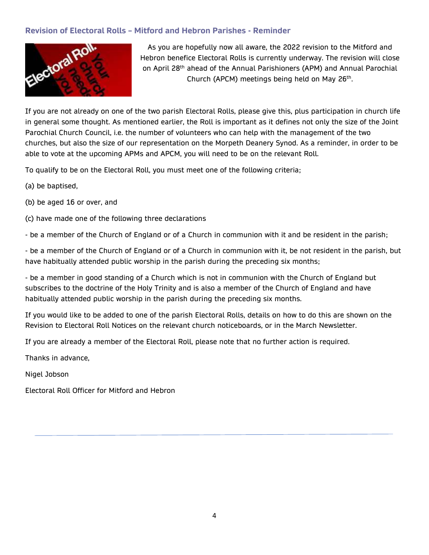

Revision of Electoral Rolls – Mitford and Hebron Parishes - Reminder<br>As you are hopefully now all aware, the 20<br>Hebron benefice Electoral Rolls is cur-<br>on April 28<sup>th al</sup>core As you are hopefully now all aware, the 2022 revision to the Mitford and Hebron benefice Electoral Rolls is currently underway. The revision will close on April 28<sup>th</sup> ahead of the Annual Parishioners (APM) and Annual Parochial Church (APCM) meetings being held on May 26<sup>th</sup>.

If you are not already on one of the two parish Electoral Rolls, please give this, plus participation in church life in general some thought. As mentioned earlier, the Roll is important as it defines not only the size of the Joint Parochial Church Council, i.e. the number of volunteers who can help with the management of the two churches, but also the size of our representation on the Morpeth Deanery Synod. As a reminder, in order to be able to vote at the upcoming APMs and APCM, you will need to be on the relevant Roll.

To qualify to be on the Electoral Roll, you must meet one of the following criteria;

- (a) be baptised,
- (b) be aged 16 or over, and

(c) have made one of the following three declarations

- be a member of the Church of England or of a Church in communion with it and be resident in the parish;

- be a member of the Church of England or of a Church in communion with it, be not resident in the parish, but have habitually attended public worship in the parish during the preceding six months;

- be a member in good standing of a Church which is not in communion with the Church of England but subscribes to the doctrine of the Holy Trinity and is also a member of the Church of England and have habitually attended public worship in the parish during the preceding six months.

If you would like to be added to one of the parish Electoral Rolls, details on how to do this are shown on the Revision to Electoral Roll Notices on the relevant church noticeboards, or in the March Newsletter.

If you are already a member of the Electoral Roll, please note that no further action is required.

Thanks in advance,

Nigel Jobson

Electoral Roll Officer for Mitford and Hebron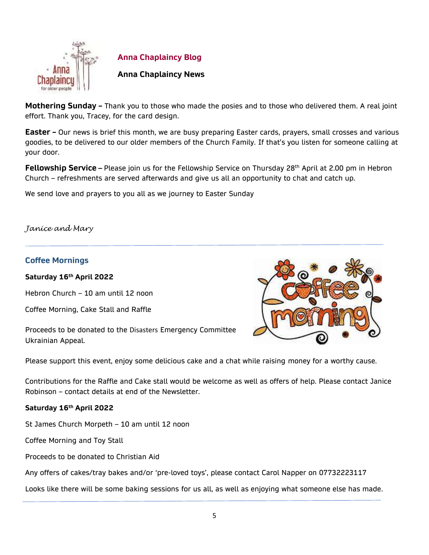

**Anna Chaplaincy Blog**

## **Anna Chaplaincy News**

**Mothering Sunday –** Thank you to those who made the posies and to those who delivered them. A real joint effort. Thank you, Tracey, for the card design.

**Easter –** Our news is brief this month, we are busy preparing Easter cards, prayers, small crosses and various goodies, to be delivered to our older members of the Church Family. If that's you listen for someone calling at your door.

**Fellowship Service** – Please join us for the Fellowship Service on Thursday 28<sup>th</sup> April at 2.00 pm in Hebron Church – refreshments are served afterwards and give us all an opportunity to chat and catch up.

We send love and prayers to you all as we journey to Easter Sunday

#### *Janice and Mary*

#### **Coffee Mornings**

**Saturday 16th April 2022**

Hebron Church – 10 am until 12 noon

Coffee Morning, Cake Stall and Raffle

Proceeds to be donated to the Disasters Emergency Committee Ukrainian Appeal.



Please support this event, enjoy some delicious cake and a chat while raising money for a worthy cause.

Contributions for the Raffle and Cake stall would be welcome as well as offers of help. Please contact Janice Robinson – contact details at end of the Newsletter.

#### **Saturday 16th April 2022**

St James Church Morpeth – 10 am until 12 noon

Coffee Morning and Toy Stall

Proceeds to be donated to Christian Aid

Any offers of cakes/tray bakes and/or 'pre-loved toys', please contact Carol Napper on 07732223117

Looks like there will be some baking sessions for us all, as well as enjoying what someone else has made.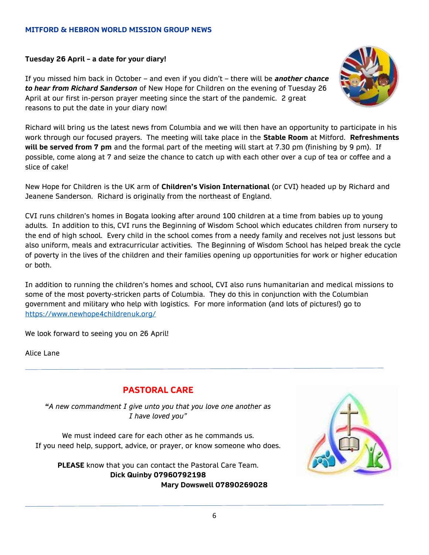#### **MITFORD & HEBRON WORLD MISSION GROUP NEWS**

#### **Tuesday 26 April – a date for your diary!**

If you missed him back in October – and even if you didn't – there will be *another chance to hear from Richard Sanderson* of New Hope for Children on the evening of Tuesday 26 April at our first in-person prayer meeting since the start of the pandemic. 2 great reasons to put the date in your diary now!



Richard will bring us the latest news from Columbia and we will then have an opportunity to participate in his work through our focused prayers. The meeting will take place in the **Stable Room** at Mitford. **Refreshments will be served from 7 pm** and the formal part of the meeting will start at 7.30 pm (finishing by 9 pm). If possible, come along at 7 and seize the chance to catch up with each other over a cup of tea or coffee and a slice of cake!

New Hope for Children is the UK arm of **Children's Vision International** (or CVI) headed up by Richard and Jeanene Sanderson. Richard is originally from the northeast of England.

CVI runs children's homes in Bogata looking after around 100 children at a time from babies up to young adults. In addition to this, CVI runs the Beginning of Wisdom School which educates children from nursery to the end of high school. Every child in the school comes from a needy family and receives not just lessons but also uniform, meals and extracurricular activities. The Beginning of Wisdom School has helped break the cycle of poverty in the lives of the children and their families opening up opportunities for work or higher education or both.

In addition to running the children's homes and school, CVI also runs humanitarian and medical missions to some of the most poverty-stricken parts of Columbia. They do this in conjunction with the Columbian government and military who help with logistics. For more information (and lots of pictures!) go to <https://www.newhope4childrenuk.org/>

We look forward to seeing you on 26 April!

Alice Lane

# **PASTORAL CARE**

**"***A new commandment I give unto you that you love one another as I have loved you"*

We must indeed care for each other as he commands us. If you need help, support, advice, or prayer, or know someone who does.

**PLEASE** know that you can contact the Pastoral Care Team. **Dick Quinby 07960792198 Mary Dowswell 07890269028**

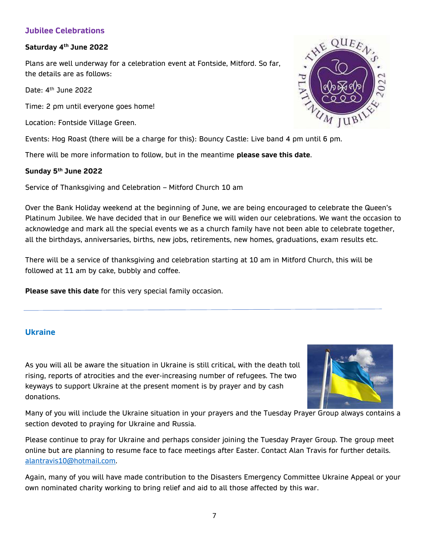## **Jubilee Celebrations**

### **Saturday 4 th June 2022**

Plans are well underway for a celebration event at Fontside, Mitford. So far, the details are as follows:

Date: 4<sup>th</sup> June 2022

Time: 2 pm until everyone goes home!

Location: Fontside Village Green.

Events: Hog Roast (there will be a charge for this): Bouncy Castle: Live band 4 pm until 6 pm.

There will be more information to follow, but in the meantime **please save this date**.

## **Sunday 5th June 2022**

Service of Thanksgiving and Celebration – Mitford Church 10 am

Over the Bank Holiday weekend at the beginning of June, we are being encouraged to celebrate the Queen's Platinum Jubilee. We have decided that in our Benefice we will widen our celebrations. We want the occasion to acknowledge and mark all the special events we as a church family have not been able to celebrate together, all the birthdays, anniversaries, births, new jobs, retirements, new homes, graduations, exam results etc.

There will be a service of thanksgiving and celebration starting at 10 am in Mitford Church, this will be followed at 11 am by cake, bubbly and coffee.

**Please save this date** for this very special family occasion.

## **Ukraine**

As you will all be aware the situation in Ukraine is still critical, with the death toll rising, reports of atrocities and the ever-increasing number of refugees. The two keyways to support Ukraine at the present moment is by prayer and by cash donations.



Many of you will include the Ukraine situation in your prayers and the Tuesday Prayer Group always contains a section devoted to praying for Ukraine and Russia.

Please continue to pray for Ukraine and perhaps consider joining the Tuesday Prayer Group. The group meet online but are planning to resume face to face meetings after Easter. Contact Alan Travis for further details. [alantravis10@hotmail.com.](mailto:alantravis10@hotmail.com)

Again, many of you will have made contribution to the Disasters Emergency Committee Ukraine Appeal or your own nominated charity working to bring relief and aid to all those affected by this war.

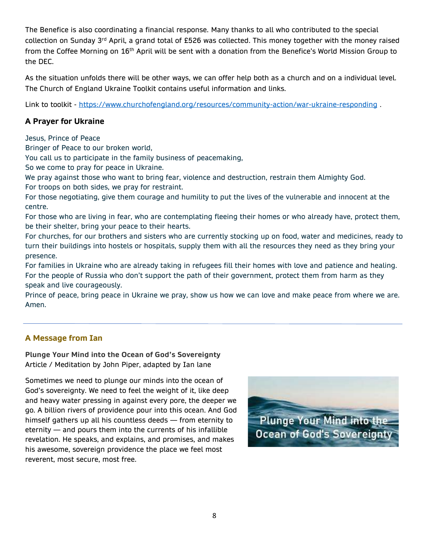The Benefice is also coordinating a financial response. Many thanks to all who contributed to the special collection on Sunday 3<sup>rd</sup> April, a grand total of £526 was collected. This money together with the money raised from the Coffee Morning on 16<sup>th</sup> April will be sent with a donation from the Benefice's World Mission Group to the DEC.

As the situation unfolds there will be other ways, we can offer help both as a church and on a individual level. The Church of England Ukraine Toolkit contains useful information and links.

Link to toolkit - <https://www.churchofengland.org/resources/community-action/war-ukraine-responding>

# **A Prayer for Ukraine**

Jesus, Prince of Peace

Bringer of Peace to our broken world,

You call us to participate in the family business of peacemaking,

So we come to pray for peace in Ukraine.

We pray against those who want to bring fear, violence and destruction, restrain them Almighty God. For troops on both sides, we pray for restraint.

For those negotiating, give them courage and humility to put the lives of the vulnerable and innocent at the centre.

For those who are living in fear, who are contemplating fleeing their homes or who already have, protect them, be their shelter, bring your peace to their hearts.

For churches, for our brothers and sisters who are currently stocking up on food, water and medicines, ready to turn their buildings into hostels or hospitals, supply them with all the resources they need as they bring your presence.

For families in Ukraine who are already taking in refugees fill their homes with love and patience and healing. For the people of Russia who don't support the path of their government, protect them from harm as they speak and live courageously.

Prince of peace, bring peace in Ukraine we pray, show us how we can love and make peace from where we are. Amen.

## **A Message from Ian**

**Plunge Your Mind into the Ocean of God's Sovereignty** Article / Meditation by John Piper, adapted by Ian lane

Sometimes we need to plunge our minds into the ocean of God's sovereignty. We need to feel the weight of it, like deep and heavy water pressing in against every pore, the deeper we go. A billion rivers of providence pour into this ocean. And God himself gathers up all his countless deeds — from eternity to eternity — and pours them into the currents of his infallible revelation. He speaks, and explains, and promises, and makes his awesome, sovereign providence the place we feel most reverent, most secure, most free.

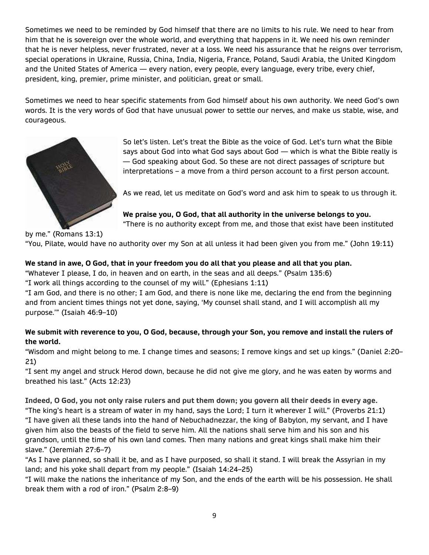Sometimes we need to be reminded by God himself that there are no limits to his rule. We need to hear from him that he is sovereign over the whole world, and everything that happens in it. We need his own reminder that he is never helpless, never frustrated, never at a loss. We need his assurance that he reigns over terrorism, special operations in Ukraine, Russia, China, India, Nigeria, France, Poland, Saudi Arabia, the United Kingdom and the United States of America — every nation, every people, every language, every tribe, every chief, president, king, premier, prime minister, and politician, great or small.

Sometimes we need to hear specific statements from God himself about his own authority. We need God's own words. It is the very words of God that have unusual power to settle our nerves, and make us stable, wise, and courageous.



So let's listen. Let's treat the Bible as the voice of God. Let's turn what the Bible says about God into what God says about God — which is what the Bible really is — God speaking about God. So these are not direct passages of scripture but interpretations – a move from a third person account to a first person account.

As we read, let us meditate on God's word and ask him to speak to us through it.

**We praise you, O God, that all authority in the universe belongs to you.** "There is no authority except from me, and those that exist have been instituted

by me." (Romans 13:1)

"You, Pilate, would have no authority over my Son at all unless it had been given you from me." ([John 19:11\)](https://biblia.com/bible/esv/John%2019.11)

## **We stand in awe, O God, that in your freedom you do all that you please and all that you plan.**

"Whatever I please, I do, in heaven and on earth, in the seas and all deeps." [\(Psalm 135:6\)](https://biblia.com/bible/esv/Ps%20135.6)

"I work all things according to the counsel of my will." ([Ephesians 1:11\)](https://biblia.com/bible/esv/Eph%201.11)

"I am God, and there is no other; I am God, and there is none like me, declaring the end from the beginning and from ancient times things not yet done, saying, 'My counsel shall stand, and I will accomplish all my purpose.'" ([Isaiah 46:9](https://biblia.com/bible/esv/Isa%2046.9%E2%80%9310)–10)

## **We submit with reverence to you, O God, because, through your Son, you remove and install the rulers of the world.**

"Wisdom and might belong to me. I change times and seasons; I remove kings and set up kings." ([Daniel 2:20](https://biblia.com/bible/esv/Dan%202.20%E2%80%9321)– [21\)](https://biblia.com/bible/esv/Dan%202.20%E2%80%9321)

"I sent my angel and struck Herod down, because he did not give me glory, and he was eaten by worms and breathed his last." ([Acts 12:23\)](https://biblia.com/bible/esv/Acts%2012.23)

**Indeed, O God, you not only raise rulers and put them down; you govern all their deeds in every age.** "The king's heart is a stream of water in my hand, says the Lord; I turn it wherever I will." ([Proverbs 21:1\)](https://biblia.com/bible/esv/Prov%2021.1) "I have given all these lands into the hand of Nebuchadnezzar, the king of Babylon, my servant, and I have given him also the beasts of the field to serve him. All the nations shall serve him and his son and his grandson, until the time of his own land comes. Then many nations and great kings shall make him their slave." [\(Jeremiah 27:6](https://biblia.com/bible/esv/Jer%2027.6%E2%80%937)–7)

"As I have planned, so shall it be, and as I have purposed, so shall it stand. I will break the Assyrian in my land; and his yoke shall depart from my people." [\(Isaiah 14:24](https://biblia.com/bible/esv/Isa%2014.24%E2%80%9325)–25)

"I will make the nations the inheritance of my Son, and the ends of the earth will be his possession. He shall break them with a rod of iron." ([Psalm 2:8](https://biblia.com/bible/esv/Ps%202.8%E2%80%939)–9)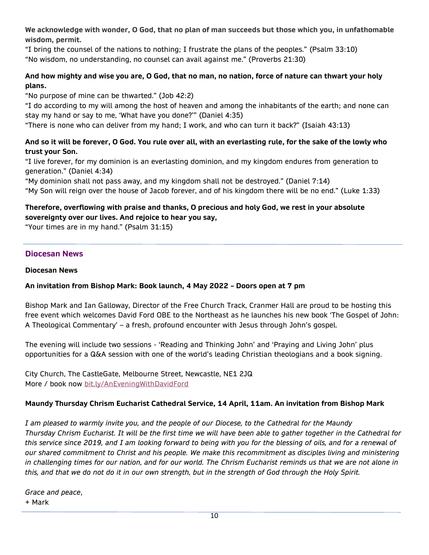**We acknowledge with wonder, O God, that no plan of man succeeds but those which you, in unfathomable wisdom, permit.**

"I bring the counsel of the nations to nothing; I frustrate the plans of the peoples." [\(Psalm 33:10\)](https://biblia.com/bible/esv/Ps%2033.10) "No wisdom, no understanding, no counsel can avail against me." ([Proverbs 21:30\)](https://biblia.com/bible/esv/Prov%2021.30)

## **And how mighty and wise you are, O God, that no man, no nation, force of nature can thwart your holy plans.**

"No purpose of mine can be thwarted." ([Job 42:2\)](https://biblia.com/bible/esv/Job%2042.2)

"I do according to my will among the host of heaven and among the inhabitants of the earth; and none can stay my hand or say to me, 'What have you done?'" [\(Daniel 4:35\)](https://biblia.com/bible/esv/Dan%204.35)

"There is none who can deliver from my hand; I work, and who can turn it back?" [\(Isaiah 43:13\)](https://biblia.com/bible/esv/Isa%2043.13)

## **And so it will be forever, O God. You rule over all, with an everlasting rule, for the sake of the lowly who trust your Son.**

"I live forever, for my dominion is an everlasting dominion, and my kingdom endures from generation to generation." [\(Daniel 4:34\)](https://biblia.com/bible/esv/Dan%204.34)

"My dominion shall not pass away, and my kingdom shall not be destroyed." ([Daniel 7:14\)](https://biblia.com/bible/esv/Dan%207.14) "My Son will reign over the house of Jacob forever, and of his kingdom there will be no end." ([Luke 1:33\)](https://biblia.com/bible/esv/Luke%201.33)

## **Therefore, overflowing with praise and thanks, O precious and holy God, we rest in your absolute sovereignty over our lives. And rejoice to hear you say,**

"Your times are in my hand." ([Psalm 31:15\)](https://biblia.com/bible/esv/Ps%2031.15)

## **Diocesan News**

**Diocesan News**

## **An invitation from Bishop Mark: Book launch, 4 May 2022 – Doors open at 7 pm**

Bishop Mark and Ian Galloway, Director of the Free Church Track, Cranmer Hall are proud to be hosting this free event which welcomes David Ford OBE to the Northeast as he launches his new book 'The Gospel of John: A Theological Commentary' – a fresh, profound encounter with Jesus through John's gospel.

The evening will include two sessions - 'Reading and Thinking John' and 'Praying and Living John' plus opportunities for a Q&A session with one of the world's leading Christian theologians and a book signing.

City Church, The CastleGate, Melbourne Street, Newcastle, NE1 2JQ More / book now [bit.ly/AnEveningWithDavidFord](https://bit.ly/AnEveningWithDavidFord?fbclid=IwAR0FOadu2mI1Ovady0Wk5du0KpeVOgNRJ15pVa156aXoyPc2mOsecAFNhJk)

#### **Maundy Thursday Chrism Eucharist Cathedral Service, 14 April, 11am. An invitation from Bishop Mark**

*I am pleased to warmly invite you, and the people of our Diocese, to the Cathedral for the Maundy Thursday Chrism Eucharist. It will be the first time we will have been able to gather together in the Cathedral for this service since 2019, and I am looking forward to being with you for the blessing of oils, and for a renewal of our shared commitment to Christ and his people. We make this recommitment as disciples living and ministering in challenging times for our nation, and for our world. The Chrism Eucharist reminds us that we are not alone in this, and that we do not do it in our own strength, but in the strength of God through the Holy Spirit.*

*Grace and peace,* + Mark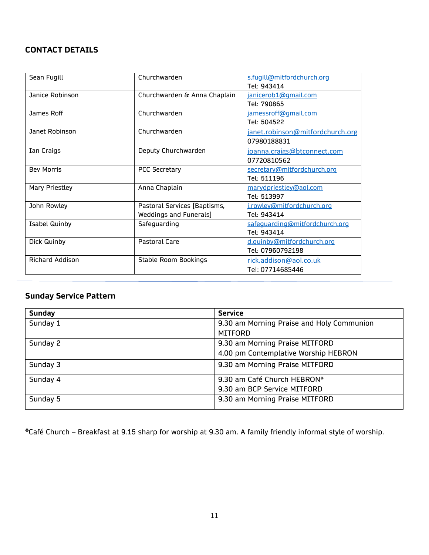# **CONTACT DETAILS**

| Sean Fugill            | Churchwarden                         | s.fugill@mitfordchurch.org       |  |
|------------------------|--------------------------------------|----------------------------------|--|
|                        |                                      | Tel: 943414                      |  |
| Janice Robinson        | Churchwarden & Anna Chaplain         | janicerob1@gmail.com             |  |
|                        |                                      | Tel: 790865                      |  |
| James Roff             | Churchwarden<br>jamessroff@gmail.com |                                  |  |
|                        |                                      | Tel: 504522                      |  |
| Janet Robinson         | Churchwarden                         | janet.robinson@mitfordchurch.org |  |
|                        |                                      | 07980188831                      |  |
| Ian Craigs             | Deputy Churchwarden                  | joanna.craigs@btconnect.com      |  |
|                        |                                      | 07720810562                      |  |
| <b>Bev Morris</b>      | <b>PCC Secretary</b>                 | secretary@mitfordchurch.org      |  |
|                        |                                      | Tel: 511196                      |  |
| Mary Priestley         | Anna Chaplain                        | marydpriestley@aol.com           |  |
|                        |                                      | Tel: 513997                      |  |
| John Rowley            | Pastoral Services [Baptisms,         | j.rowley@mitfordchurch.org       |  |
|                        | Weddings and Funerals]               | Tel: 943414                      |  |
| <b>Isabel Quinby</b>   | Safeguarding                         | safeguarding@mitfordchurch.org   |  |
|                        |                                      | Tel: 943414                      |  |
| Dick Quinby            | Pastoral Care                        | d.quinby@mitfordchurch.org       |  |
|                        |                                      | Tel: 07960792198                 |  |
| <b>Richard Addison</b> | <b>Stable Room Bookings</b>          | rick.addison@aol.co.uk           |  |
|                        |                                      | Tel: 07714685446                 |  |

# **Sunday Service Pattern**

| <b>Sunday</b> | <b>Service</b>                            |  |
|---------------|-------------------------------------------|--|
| Sunday 1      | 9.30 am Morning Praise and Holy Communion |  |
|               | <b>MITFORD</b>                            |  |
| Sunday 2      | 9.30 am Morning Praise MITFORD            |  |
|               | 4.00 pm Contemplative Worship HEBRON      |  |
| Sunday 3      | 9.30 am Morning Praise MITFORD            |  |
| Sunday 4      | 9.30 am Café Church HEBRON*               |  |
|               | 9.30 am BCP Service MITFORD               |  |
| Sunday 5      | 9.30 am Morning Praise MITFORD            |  |

**\***Café Church – Breakfast at 9.15 sharp for worship at 9.30 am. A family friendly informal style of worship.